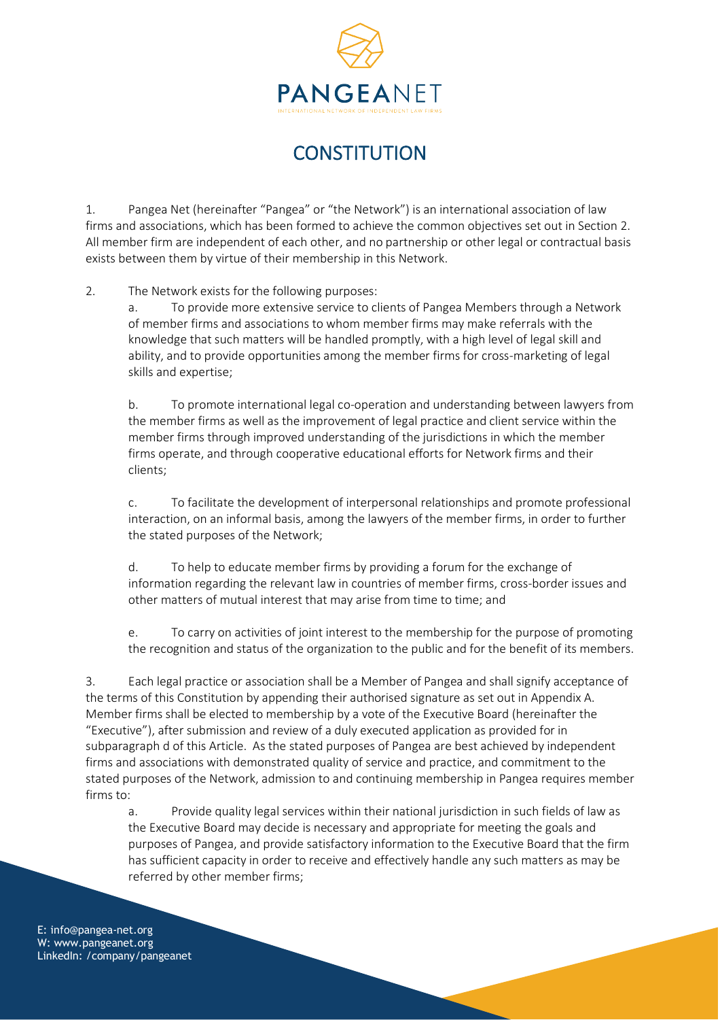

## **CONSTITUTION**

1. Pangea Net (hereinafter "Pangea" or "the Network") is an international association of law firms and associations, which has been formed to achieve the common objectives set out in Section 2. All member firm are independent of each other, and no partnership or other legal or contractual basis exists between them by virtue of their membership in this Network.

## 2. The Network exists for the following purposes:

a. To provide more extensive service to clients of Pangea Members through a Network of member firms and associations to whom member firms may make referrals with the knowledge that such matters will be handled promptly, with a high level of legal skill and ability, and to provide opportunities among the member firms for cross-marketing of legal skills and expertise;

b. To promote international legal co-operation and understanding between lawyers from the member firms as well as the improvement of legal practice and client service within the member firms through improved understanding of the jurisdictions in which the member firms operate, and through cooperative educational efforts for Network firms and their clients;

c. To facilitate the development of interpersonal relationships and promote professional interaction, on an informal basis, among the lawyers of the member firms, in order to further the stated purposes of the Network;

d. To help to educate member firms by providing a forum for the exchange of information regarding the relevant law in countries of member firms, cross-border issues and other matters of mutual interest that may arise from time to time; and

e. To carry on activities of joint interest to the membership for the purpose of promoting the recognition and status of the organization to the public and for the benefit of its members.

3. Each legal practice or association shall be a Member of Pangea and shall signify acceptance of the terms of this Constitution by appending their authorised signature as set out in Appendix A. Member firms shall be elected to membership by a vote of the Executive Board (hereinafter the "Executive"), after submission and review of a duly executed application as provided for in subparagraph d of this Article. As the stated purposes of Pangea are best achieved by independent firms and associations with demonstrated quality of service and practice, and commitment to the stated purposes of the Network, admission to and continuing membership in Pangea requires member firms to:

a. Provide quality legal services within their national jurisdiction in such fields of law as the Executive Board may decide is necessary and appropriate for meeting the goals and purposes of Pangea, and provide satisfactory information to the Executive Board that the firm has sufficient capacity in order to receive and effectively handle any such matters as may be referred by other member firms;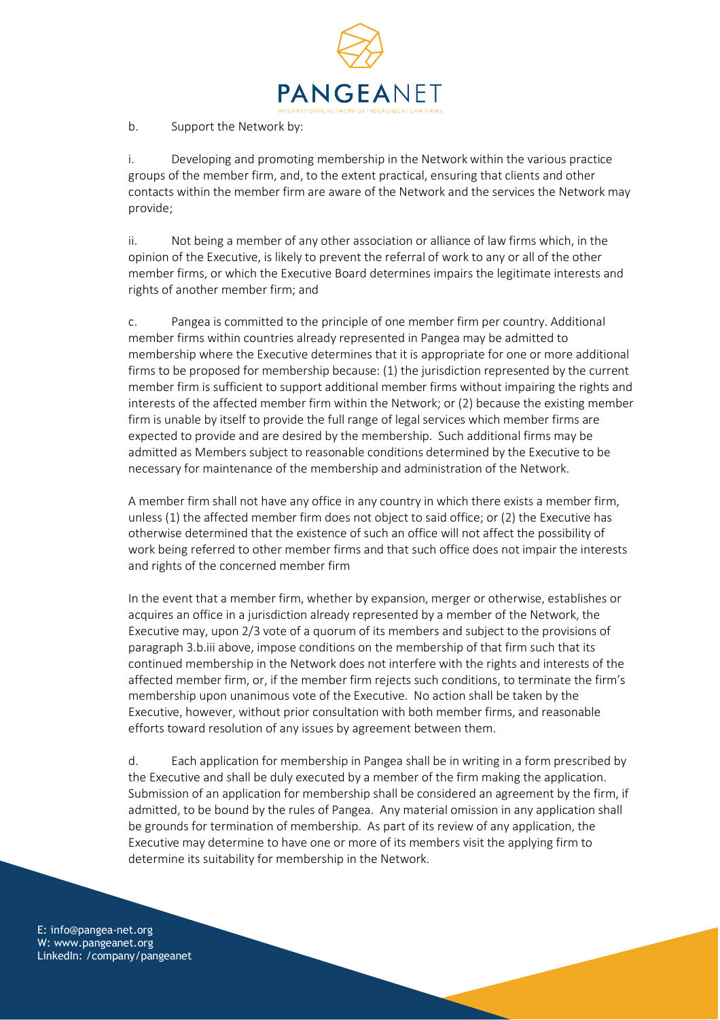

b. Support the Network by:

i. Developing and promoting membership in the Network within the various practice groups of the member firm, and, to the extent practical, ensuring that clients and other contacts within the member firm are aware of the Network and the services the Network may provide;

ii. Not being a member of any other association or alliance of law firms which, in the opinion of the Executive, is likely to prevent the referral of work to any or all of the other member firms, or which the Executive Board determines impairs the legitimate interests and rights of another member firm; and

c. Pangea is committed to the principle of one member firm per country. Additional member firms within countries already represented in Pangea may be admitted to membership where the Executive determines that it is appropriate for one or more additional firms to be proposed for membership because: (1) the jurisdiction represented by the current member firm is sufficient to support additional member firms without impairing the rights and interests of the affected member firm within the Network; or (2) because the existing member firm is unable by itself to provide the full range of legal services which member firms are expected to provide and are desired by the membership. Such additional firms may be admitted as Members subject to reasonable conditions determined by the Executive to be necessary for maintenance of the membership and administration of the Network.

A member firm shall not have any office in any country in which there exists a member firm, unless (1) the affected member firm does not object to said office; or (2) the Executive has otherwise determined that the existence of such an office will not affect the possibility of work being referred to other member firms and that such office does not impair the interests and rights of the concerned member firm

In the event that a member firm, whether by expansion, merger or otherwise, establishes or acquires an office in a jurisdiction already represented by a member of the Network, the Executive may, upon 2/3 vote of a quorum of its members and subject to the provisions of paragraph 3.b.iii above, impose conditions on the membership of that firm such that its continued membership in the Network does not interfere with the rights and interests of the affected member firm, or, if the member firm rejects such conditions, to terminate the firm's membership upon unanimous vote of the Executive. No action shall be taken by the Executive, however, without prior consultation with both member firms, and reasonable efforts toward resolution of any issues by agreement between them.

d. Each application for membership in Pangea shall be in writing in a form prescribed by the Executive and shall be duly executed by a member of the firm making the application. Submission of an application for membership shall be considered an agreement by the firm, if admitted, to be bound by the rules of Pangea. Any material omission in any application shall be grounds for termination of membership. As part of its review of any application, the Executive may determine to have one or more of its members visit the applying firm to determine its suitability for membership in the Network.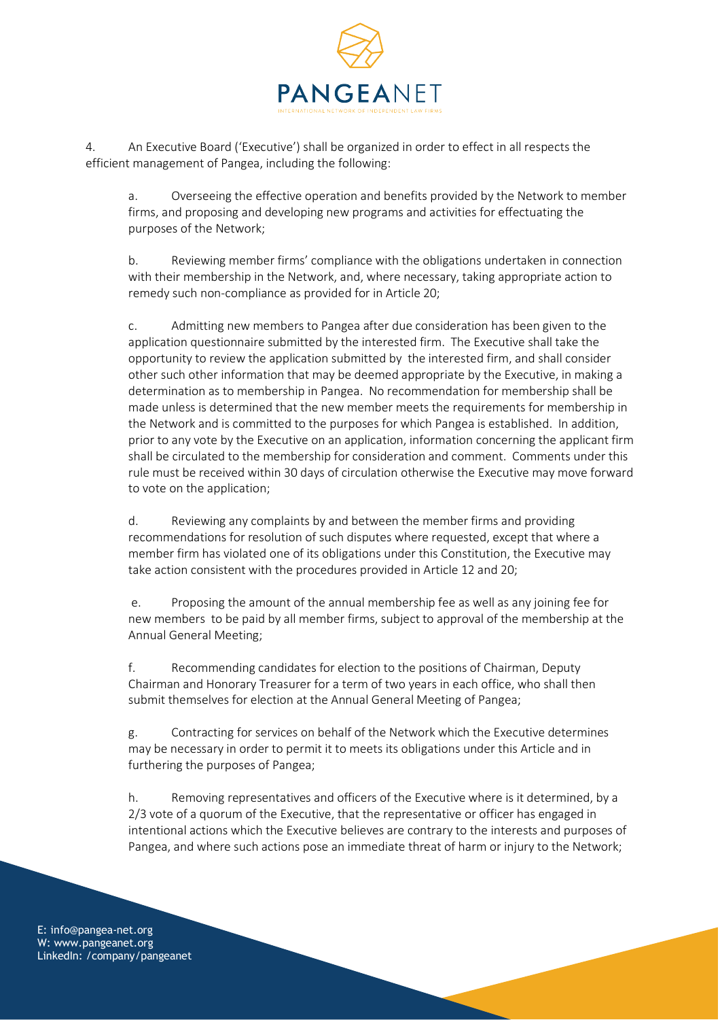

4. An Executive Board ('Executive') shall be organized in order to effect in all respects the efficient management of Pangea, including the following:

a. Overseeing the effective operation and benefits provided by the Network to member firms, and proposing and developing new programs and activities for effectuating the purposes of the Network;

b. Reviewing member firms' compliance with the obligations undertaken in connection with their membership in the Network, and, where necessary, taking appropriate action to remedy such non-compliance as provided for in Article 20;

c. Admitting new members to Pangea after due consideration has been given to the application questionnaire submitted by the interested firm. The Executive shall take the opportunity to review the application submitted by the interested firm, and shall consider other such other information that may be deemed appropriate by the Executive, in making a determination as to membership in Pangea. No recommendation for membership shall be made unless is determined that the new member meets the requirements for membership in the Network and is committed to the purposes for which Pangea is established. In addition, prior to any vote by the Executive on an application, information concerning the applicant firm shall be circulated to the membership for consideration and comment. Comments under this rule must be received within 30 days of circulation otherwise the Executive may move forward to vote on the application;

d. Reviewing any complaints by and between the member firms and providing recommendations for resolution of such disputes where requested, except that where a member firm has violated one of its obligations under this Constitution, the Executive may take action consistent with the procedures provided in Article 12 and 20;

e. Proposing the amount of the annual membership fee as well as any joining fee for new members to be paid by all member firms, subject to approval of the membership at the Annual General Meeting;

f. Recommending candidates for election to the positions of Chairman, Deputy Chairman and Honorary Treasurer for a term of two years in each office, who shall then submit themselves for election at the Annual General Meeting of Pangea;

g. Contracting for services on behalf of the Network which the Executive determines may be necessary in order to permit it to meets its obligations under this Article and in furthering the purposes of Pangea;

h. Removing representatives and officers of the Executive where is it determined, by a 2/3 vote of a quorum of the Executive, that the representative or officer has engaged in intentional actions which the Executive believes are contrary to the interests and purposes of Pangea, and where such actions pose an immediate threat of harm or injury to the Network;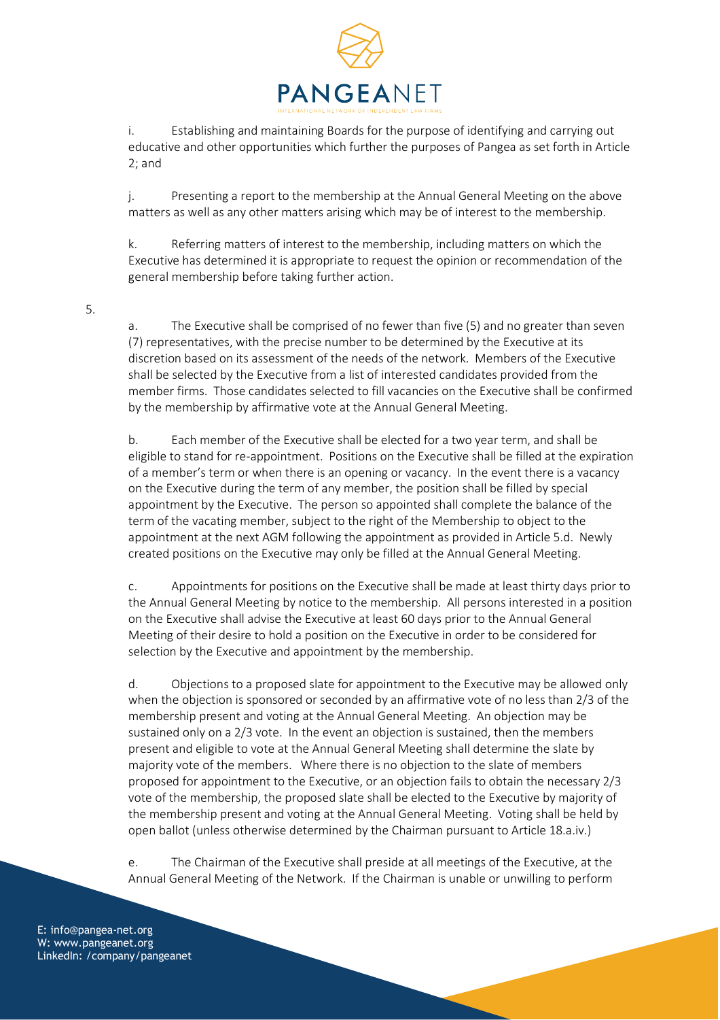

i. Establishing and maintaining Boards for the purpose of identifying and carrying out educative and other opportunities which further the purposes of Pangea as set forth in Article 2; and

j. Presenting a report to the membership at the Annual General Meeting on the above matters as well as any other matters arising which may be of interest to the membership.

k. Referring matters of interest to the membership, including matters on which the Executive has determined it is appropriate to request the opinion or recommendation of the general membership before taking further action.

5.

a. The Executive shall be comprised of no fewer than five (5) and no greater than seven (7) representatives, with the precise number to be determined by the Executive at its discretion based on its assessment of the needs of the network. Members of the Executive shall be selected by the Executive from a list of interested candidates provided from the member firms. Those candidates selected to fill vacancies on the Executive shall be confirmed by the membership by affirmative vote at the Annual General Meeting.

b. Each member of the Executive shall be elected for a two year term, and shall be eligible to stand for re-appointment. Positions on the Executive shall be filled at the expiration of a member's term or when there is an opening or vacancy. In the event there is a vacancy on the Executive during the term of any member, the position shall be filled by special appointment by the Executive. The person so appointed shall complete the balance of the term of the vacating member, subject to the right of the Membership to object to the appointment at the next AGM following the appointment as provided in Article 5.d. Newly created positions on the Executive may only be filled at the Annual General Meeting.

c. Appointments for positions on the Executive shall be made at least thirty days prior to the Annual General Meeting by notice to the membership. All persons interested in a position on the Executive shall advise the Executive at least 60 days prior to the Annual General Meeting of their desire to hold a position on the Executive in order to be considered for selection by the Executive and appointment by the membership.

d. Objections to a proposed slate for appointment to the Executive may be allowed only when the objection is sponsored or seconded by an affirmative vote of no less than 2/3 of the membership present and voting at the Annual General Meeting. An objection may be sustained only on a 2/3 vote. In the event an objection is sustained, then the members present and eligible to vote at the Annual General Meeting shall determine the slate by majority vote of the members. Where there is no objection to the slate of members proposed for appointment to the Executive, or an objection fails to obtain the necessary 2/3 vote of the membership, the proposed slate shall be elected to the Executive by majority of the membership present and voting at the Annual General Meeting. Voting shall be held by open ballot (unless otherwise determined by the Chairman pursuant to Article 18.a.iv.)

e. The Chairman of the Executive shall preside at all meetings of the Executive, at the Annual General Meeting of the Network. If the Chairman is unable or unwilling to perform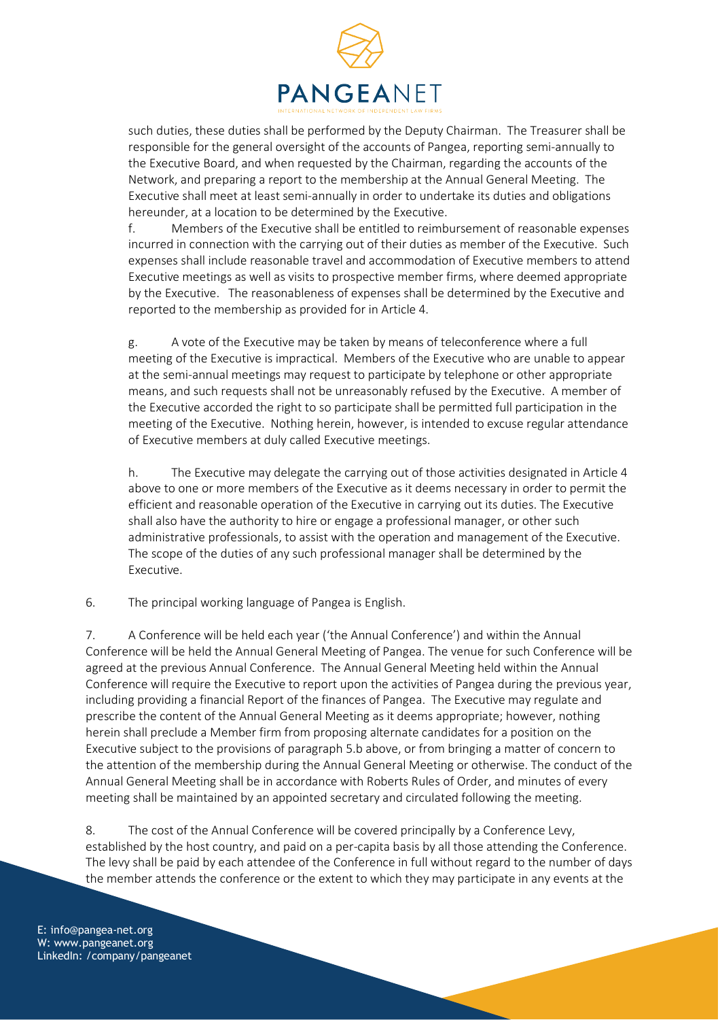

such duties, these duties shall be performed by the Deputy Chairman. The Treasurer shall be responsible for the general oversight of the accounts of Pangea, reporting semi-annually to the Executive Board, and when requested by the Chairman, regarding the accounts of the Network, and preparing a report to the membership at the Annual General Meeting. The Executive shall meet at least semi-annually in order to undertake its duties and obligations hereunder, at a location to be determined by the Executive.

f. Members of the Executive shall be entitled to reimbursement of reasonable expenses incurred in connection with the carrying out of their duties as member of the Executive. Such expenses shall include reasonable travel and accommodation of Executive members to attend Executive meetings as well as visits to prospective member firms, where deemed appropriate by the Executive. The reasonableness of expenses shall be determined by the Executive and reported to the membership as provided for in Article 4.

g. A vote of the Executive may be taken by means of teleconference where a full meeting of the Executive is impractical. Members of the Executive who are unable to appear at the semi-annual meetings may request to participate by telephone or other appropriate means, and such requests shall not be unreasonably refused by the Executive. A member of the Executive accorded the right to so participate shall be permitted full participation in the meeting of the Executive. Nothing herein, however, is intended to excuse regular attendance of Executive members at duly called Executive meetings.

h. The Executive may delegate the carrying out of those activities designated in Article 4 above to one or more members of the Executive as it deems necessary in order to permit the efficient and reasonable operation of the Executive in carrying out its duties. The Executive shall also have the authority to hire or engage a professional manager, or other such administrative professionals, to assist with the operation and management of the Executive. The scope of the duties of any such professional manager shall be determined by the Executive.

6. The principal working language of Pangea is English.

7. A Conference will be held each year ('the Annual Conference') and within the Annual Conference will be held the Annual General Meeting of Pangea. The venue for such Conference will be agreed at the previous Annual Conference. The Annual General Meeting held within the Annual Conference will require the Executive to report upon the activities of Pangea during the previous year, including providing a financial Report of the finances of Pangea. The Executive may regulate and prescribe the content of the Annual General Meeting as it deems appropriate; however, nothing herein shall preclude a Member firm from proposing alternate candidates for a position on the Executive subject to the provisions of paragraph 5.b above, or from bringing a matter of concern to the attention of the membership during the Annual General Meeting or otherwise. The conduct of the Annual General Meeting shall be in accordance with Roberts Rules of Order, and minutes of every meeting shall be maintained by an appointed secretary and circulated following the meeting.

8. The cost of the Annual Conference will be covered principally by a Conference Levy, established by the host country, and paid on a per-capita basis by all those attending the Conference. The levy shall be paid by each attendee of the Conference in full without regard to the number of days the member attends the conference or the extent to which they may participate in any events at the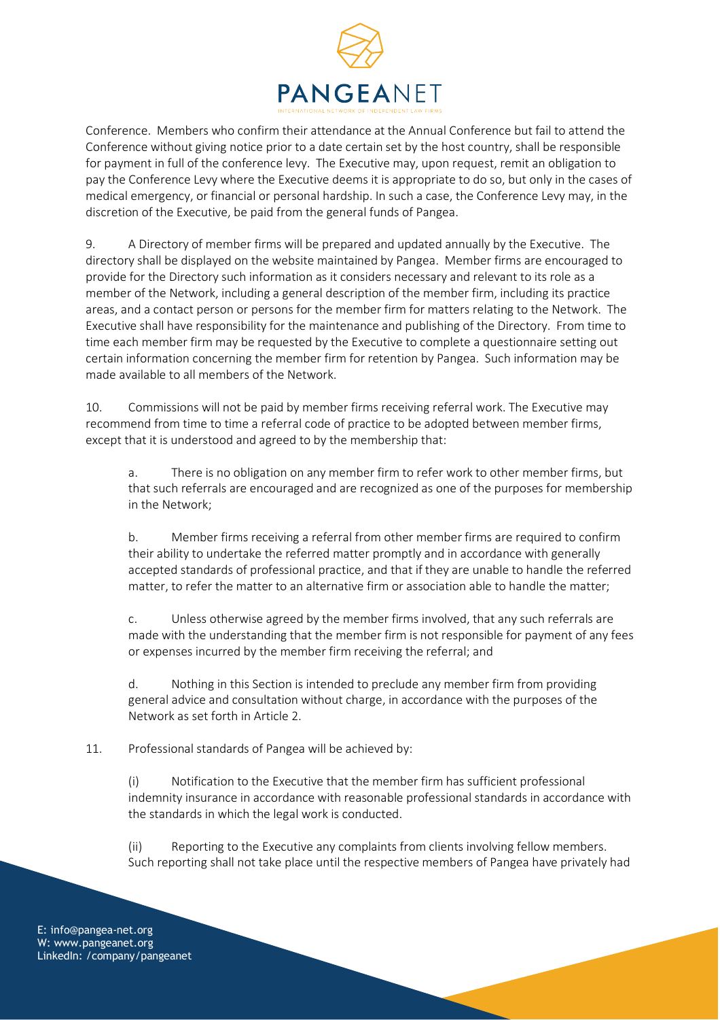

Conference. Members who confirm their attendance at the Annual Conference but fail to attend the Conference without giving notice prior to a date certain set by the host country, shall be responsible for payment in full of the conference levy. The Executive may, upon request, remit an obligation to pay the Conference Levy where the Executive deems it is appropriate to do so, but only in the cases of medical emergency, or financial or personal hardship. In such a case, the Conference Levy may, in the discretion of the Executive, be paid from the general funds of Pangea.

9. A Directory of member firms will be prepared and updated annually by the Executive. The directory shall be displayed on the website maintained by Pangea. Member firms are encouraged to provide for the Directory such information as it considers necessary and relevant to its role as a member of the Network, including a general description of the member firm, including its practice areas, and a contact person or persons for the member firm for matters relating to the Network. The Executive shall have responsibility for the maintenance and publishing of the Directory. From time to time each member firm may be requested by the Executive to complete a questionnaire setting out certain information concerning the member firm for retention by Pangea. Such information may be made available to all members of the Network.

10. Commissions will not be paid by member firms receiving referral work. The Executive may recommend from time to time a referral code of practice to be adopted between member firms, except that it is understood and agreed to by the membership that:

a. There is no obligation on any member firm to refer work to other member firms, but that such referrals are encouraged and are recognized as one of the purposes for membership in the Network;

b. Member firms receiving a referral from other member firms are required to confirm their ability to undertake the referred matter promptly and in accordance with generally accepted standards of professional practice, and that if they are unable to handle the referred matter, to refer the matter to an alternative firm or association able to handle the matter;

c. Unless otherwise agreed by the member firms involved, that any such referrals are made with the understanding that the member firm is not responsible for payment of any fees or expenses incurred by the member firm receiving the referral; and

d. Nothing in this Section is intended to preclude any member firm from providing general advice and consultation without charge, in accordance with the purposes of the Network as set forth in Article 2.

11. Professional standards of Pangea will be achieved by:

(i) Notification to the Executive that the member firm has sufficient professional indemnity insurance in accordance with reasonable professional standards in accordance with the standards in which the legal work is conducted.

(ii) Reporting to the Executive any complaints from clients involving fellow members. Such reporting shall not take place until the respective members of Pangea have privately had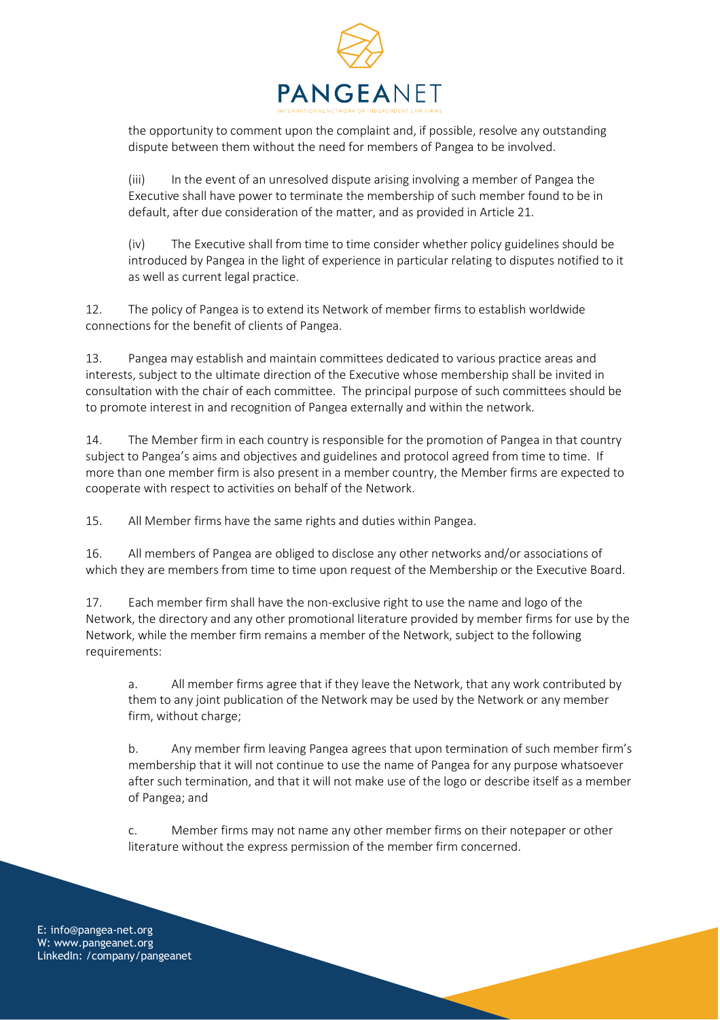

the opportunity to comment upon the complaint and, if possible, resolve any outstanding dispute between them without the need for members of Pangea to be involved.

(iii) In the event of an unresolved dispute arising involving a member of Pangea the Executive shall have power to terminate the membership of such member found to be in default, after due consideration of the matter, and as provided in Article 21.

(iv) The Executive shall from time to time consider whether policy guidelines should be introduced by Pangea in the light of experience in particular relating to disputes notified to it as well as current legal practice.

12. The policy of Pangea is to extend its Network of member firms to establish worldwide connections for the benefit of clients of Pangea.

13. Pangea may establish and maintain committees dedicated to various practice areas and interests, subject to the ultimate direction of the Executive whose membership shall be invited in consultation with the chair of each committee. The principal purpose of such committees should be to promote interest in and recognition of Pangea externally and within the network.

14. The Member firm in each country is responsible for the promotion of Pangea in that country subject to Pangea's aims and objectives and guidelines and protocol agreed from time to time. If more than one member firm is also present in a member country, the Member firms are expected to cooperate with respect to activities on behalf of the Network.

15. All Member firms have the same rights and duties within Pangea.

16. All members of Pangea are obliged to disclose any other networks and/or associations of which they are members from time to time upon request of the Membership or the Executive Board.

17. Each member firm shall have the non-exclusive right to use the name and logo of the Network, the directory and any other promotional literature provided by member firms for use by the Network, while the member firm remains a member of the Network, subject to the following requirements:

a. All member firms agree that if they leave the Network, that any work contributed by them to any joint publication of the Network may be used by the Network or any member firm, without charge;

b. Any member firm leaving Pangea agrees that upon termination of such member firm's membership that it will not continue to use the name of Pangea for any purpose whatsoever after such termination, and that it will not make use of the logo or describe itself as a member of Pangea; and

c. Member firms may not name any other member firms on their notepaper or other literature without the express permission of the member firm concerned.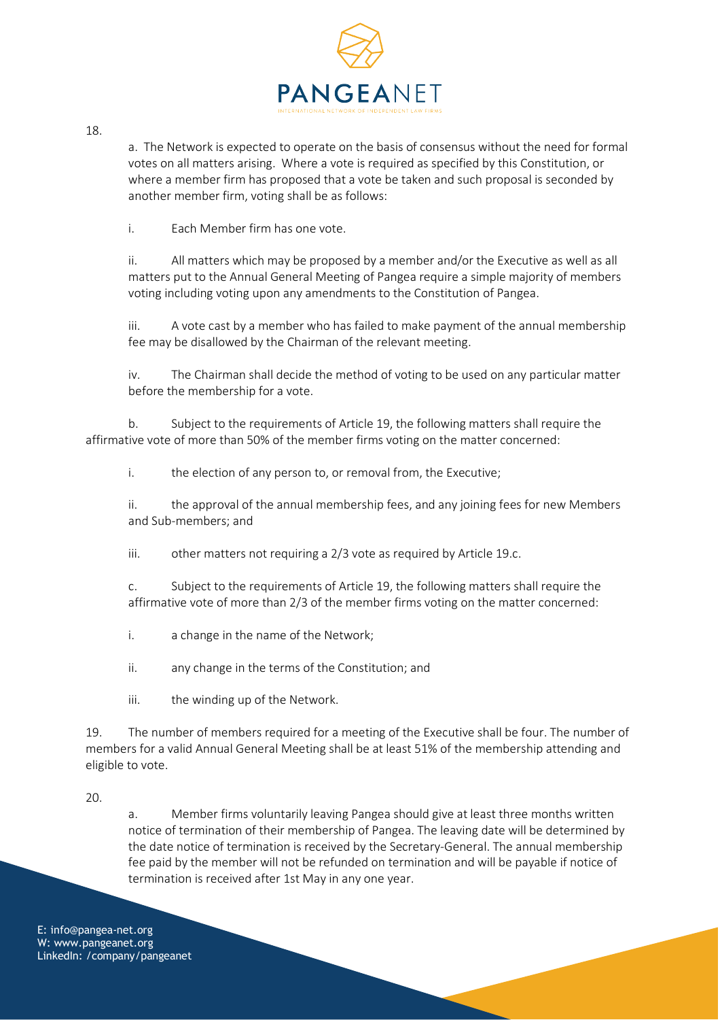

18.

a. The Network is expected to operate on the basis of consensus without the need for formal votes on all matters arising. Where a vote is required as specified by this Constitution, or where a member firm has proposed that a vote be taken and such proposal is seconded by another member firm, voting shall be as follows:

i. Each Member firm has one vote.

ii. All matters which may be proposed by a member and/or the Executive as well as all matters put to the Annual General Meeting of Pangea require a simple majority of members voting including voting upon any amendments to the Constitution of Pangea.

iii. A vote cast by a member who has failed to make payment of the annual membership fee may be disallowed by the Chairman of the relevant meeting.

iv. The Chairman shall decide the method of voting to be used on any particular matter before the membership for a vote.

b. Subject to the requirements of Article 19, the following matters shall require the affirmative vote of more than 50% of the member firms voting on the matter concerned:

i. the election of any person to, or removal from, the Executive;

ii. the approval of the annual membership fees, and any joining fees for new Members and Sub-members; and

iii. other matters not requiring a 2/3 vote as required by Article 19.c.

c. Subject to the requirements of Article 19, the following matters shall require the affirmative vote of more than 2/3 of the member firms voting on the matter concerned:

i. a change in the name of the Network;

ii. any change in the terms of the Constitution; and

iii. the winding up of the Network.

19. The number of members required for a meeting of the Executive shall be four. The number of members for a valid Annual General Meeting shall be at least 51% of the membership attending and eligible to vote.

20.

a. Member firms voluntarily leaving Pangea should give at least three months written notice of termination of their membership of Pangea. The leaving date will be determined by the date notice of termination is received by the Secretary-General. The annual membership fee paid by the member will not be refunded on termination and will be payable if notice of termination is received after 1st May in any one year.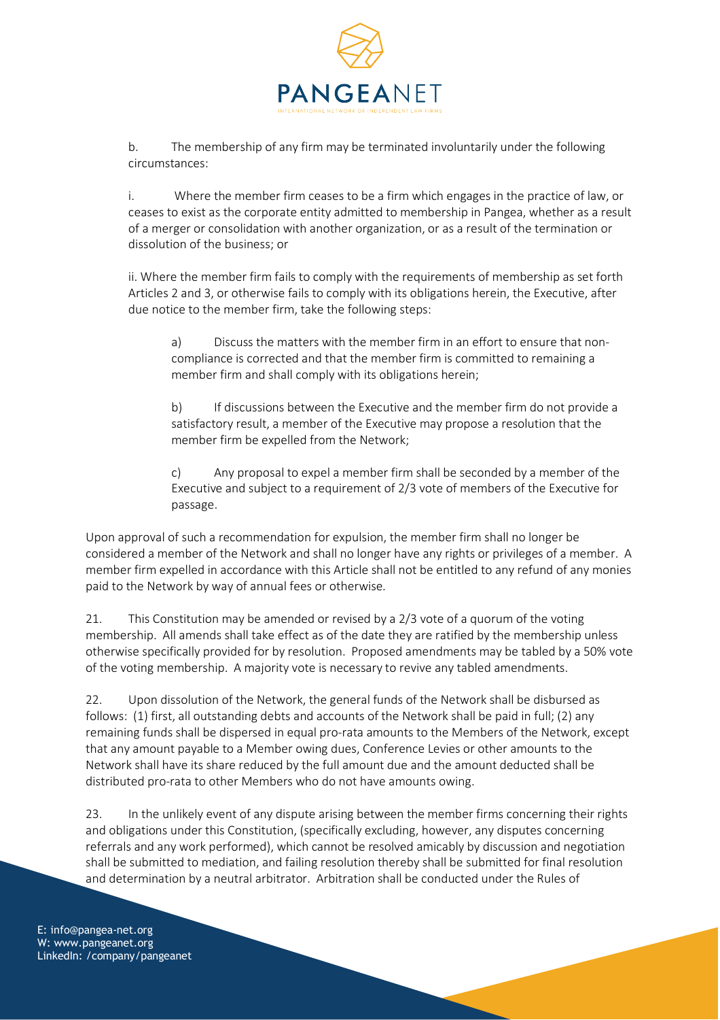

b. The membership of any firm may be terminated involuntarily under the following circumstances:

i. Where the member firm ceases to be a firm which engages in the practice of law, or ceases to exist as the corporate entity admitted to membership in Pangea, whether as a result of a merger or consolidation with another organization, or as a result of the termination or dissolution of the business; or

ii. Where the member firm fails to comply with the requirements of membership as set forth Articles 2 and 3, or otherwise fails to comply with its obligations herein, the Executive, after due notice to the member firm, take the following steps:

a) Discuss the matters with the member firm in an effort to ensure that noncompliance is corrected and that the member firm is committed to remaining a member firm and shall comply with its obligations herein;

b) If discussions between the Executive and the member firm do not provide a satisfactory result, a member of the Executive may propose a resolution that the member firm be expelled from the Network;

c) Any proposal to expel a member firm shall be seconded by a member of the Executive and subject to a requirement of 2/3 vote of members of the Executive for passage.

Upon approval of such a recommendation for expulsion, the member firm shall no longer be considered a member of the Network and shall no longer have any rights or privileges of a member. A member firm expelled in accordance with this Article shall not be entitled to any refund of any monies paid to the Network by way of annual fees or otherwise.

21. This Constitution may be amended or revised by a 2/3 vote of a quorum of the voting membership. All amends shall take effect as of the date they are ratified by the membership unless otherwise specifically provided for by resolution. Proposed amendments may be tabled by a 50% vote of the voting membership. A majority vote is necessary to revive any tabled amendments.

22. Upon dissolution of the Network, the general funds of the Network shall be disbursed as follows: (1) first, all outstanding debts and accounts of the Network shall be paid in full; (2) any remaining funds shall be dispersed in equal pro-rata amounts to the Members of the Network, except that any amount payable to a Member owing dues, Conference Levies or other amounts to the Network shall have its share reduced by the full amount due and the amount deducted shall be distributed pro-rata to other Members who do not have amounts owing.

23. In the unlikely event of any dispute arising between the member firms concerning their rights and obligations under this Constitution, (specifically excluding, however, any disputes concerning referrals and any work performed), which cannot be resolved amicably by discussion and negotiation shall be submitted to mediation, and failing resolution thereby shall be submitted for final resolution and determination by a neutral arbitrator. Arbitration shall be conducted under the Rules of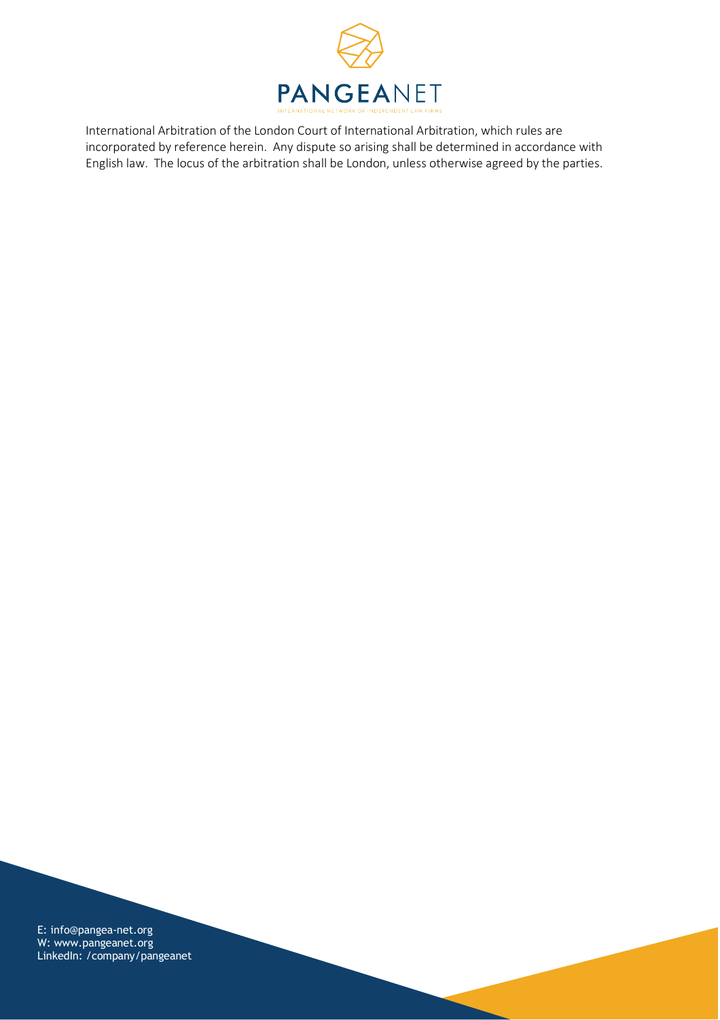

International Arbitration of the London Court of International Arbitration, which rules are incorporated by reference herein. Any dispute so arising shall be determined in accordance with English law. The locus of the arbitration shall be London, unless otherwise agreed by the parties.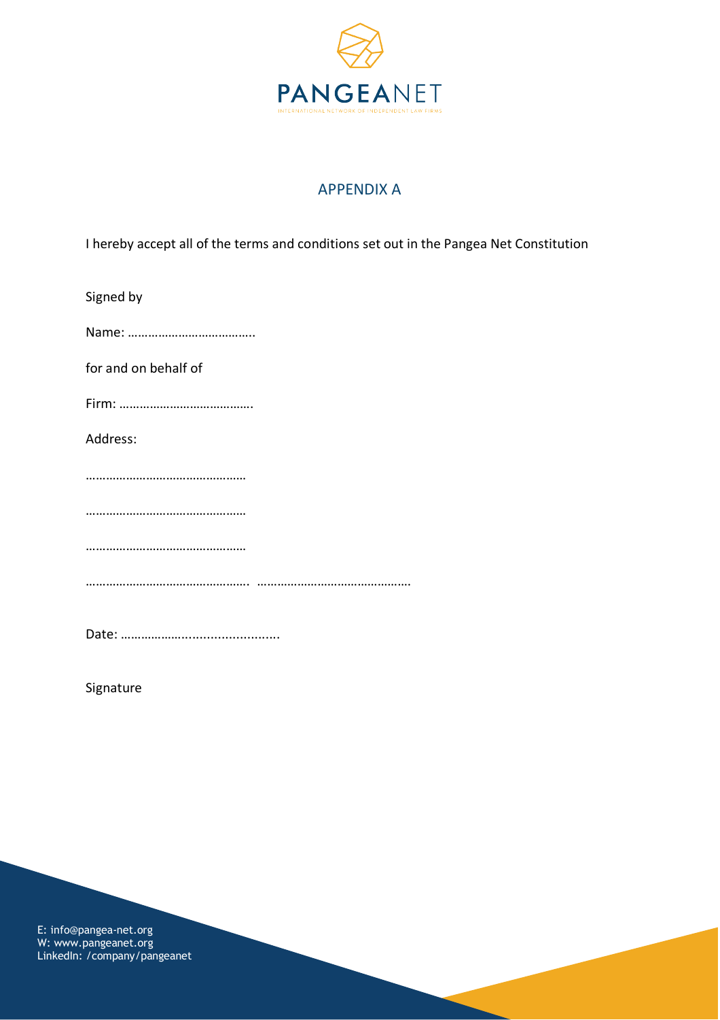

## APPENDIX A

I hereby accept all of the terms and conditions set out in the Pangea Net Constitution

| Signed by            |
|----------------------|
|                      |
| for and on behalf of |
|                      |
| Address:             |
|                      |
|                      |
|                      |
|                      |
|                      |

Signature